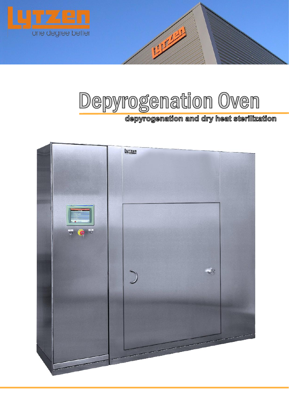

# **Depyrogenation Oven**

# **depyrogenation and dry heat sterilization**

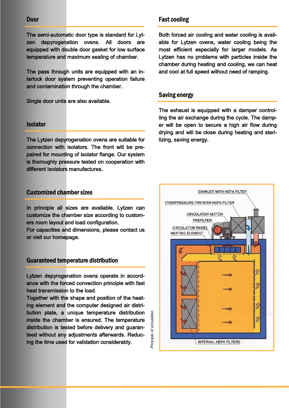#### **Door**

The semi-automatic door type is standard for Lytzen depyrogenation ovens. All doors are equipped with double door gasket for low surface temperature and maximum sealing of chamber.

The pass through units are equipped with an interlock door system preventing operation failure and contamination through the chamber.

Single door units are also available.

#### **Isolator**

The Lytzen depyrogenation ovens are suitable for connection with isolators. The front will be prepaired for mounting of isolator flange. Our system is thoroughly pressure tested on cooperation with different Isolators manufactures.

#### **Customized chamber sizes**

In principle all sizes are available. Lytzen can customize the chamber size according to customers room layout and load configuration. For capacities and dimensions, please contact us

or visit our homepage.

#### **Guaranteed temperature distribution**

Lytzen depyrogenation ovens operate in accordance with the forced convection principle with fast heat transmission to the load.

Together with the shape and position of the heating element and the computer designed air distribution plate, a unique temperature distribution inside the chamber is ensured. The temperature distribution is tested before delivery and guaranteed without any adjustments afterwards. Reducing the time used for validation considerably.

Principle of circulation *Principle of circulation*

## **Fast cooling**

Both forced air cooling and water cooling is available for Lytzen ovens, water cooling being the most efficient especially for larger models. As Lytzen has no problems with particles inside the chamber during heating and cooling, we can heat and cool at full speed without need of ramping.

#### **Saving energy**

The exhaust is equipped with a damper controlling the air exchange during the cycle. The damper will be open to secure a high air flow during drying and will be close during heating and sterilizing, saving energy.

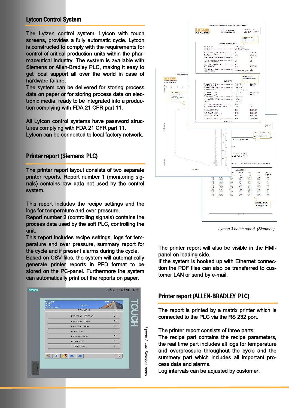# **Lytcon Control System**

The Lytzen control system, Lytcon with touch screens, provides a fully automatic cycle. Lytcon is constructed to comply with the requirements for control of critical production units within the pharmaceutical industry. The system is available with Siemens or Allen-Bradley PLC, making it easy to get local support all over the world in case of hardware failure.

The system can be delivered for storing process data on paper or for storing process data on electronic media, ready to be integrated into a production complying with FDA 21 CFR part 11.

All Lytcon control systems have password structures complying with FDA 21 CFR part 11. Lytcon can be connected to local factory network.

# **Printer report (Siemens PLC)**

The printer report layout consists of two separate printer reports. Report number 1 (monitoring signals) contains raw data not used by the control system.

This report includes the recipe settings and the logs for temperature and over pressure.

Report number 2 (controlling signals) contains the process data used by the soft PLC, controlling the unit.

This report includes recipe settings, logs for temperature and over pressure, summary report for the cycle and if present alarms during the cycle.

Based on CSV-files, the system will automatically generate printer reports in PFD format to be stored on the PC-panel. Furthermore the system can automatically print out the reports on paper.

| <b>CYCLL No:U</b><br>RECIPE:<br>LISER. | GROUP.                | x tra                              |
|----------------------------------------|-----------------------|------------------------------------|
| STATUS: T-FAT-4                        | MAIN MENU             | Ë                                  |
|                                        | PROCESS START/STOP    | E.                                 |
|                                        | PROGESS APPROVE       | $\left\vert \mathbb{S}\right\vert$ |
|                                        | <b>PROCESS STATUS</b> | F.                                 |
|                                        | ALARM MENU            | Þ.                                 |
|                                        | <b>PASSWORD MENU</b>  | 13                                 |
|                                        | <b>RECIPE MENIT</b>   | 17                                 |
|                                        | <b>TECHNIC MENU</b>   | 臣                                  |
|                                        | 空 リメト                 | A                                  |



*Lytcon 3 batch report (Siemens)*

The printer report will also be visible in the HMIpanel on loading side.

If the system is hooked up with Ethernet connection the PDF files can also be transferred to customer LAN or send by e-mail.

#### **Printer report (ALLEN-BRADLEY PLC)**

The report is printed by a matrix printer which is connected to the PLC via the RS 232 port.

The printer report consists of three parts:

The recipe part contains the recipe parameters, the real time part includes all logs for temperature and overpressure throughout the cycle and the summery part which includes all important process data and alarms.

Log intervals can be adjusted by customer.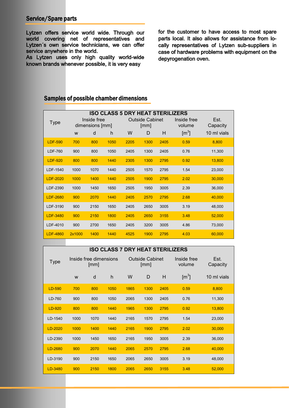#### **Service/Spare parts**

Lytzen offers service world wide. Through our world covering net of representatives and Lytzen´s own service technicians, we can offer service anywhere in the world.

As Lytzen uses only high quality world-wide known brands whenever possible, it is very easy

for the customer to have access to most spare parts local. It also allows for assistance from locally representatives of Lytzen sub-suppliers in case of hardware problems with equipment on the depyrogenation oven.

# **Samples of possible chamber dimensions**

| <b>Type</b>     | Inside free<br>dimensions [mm] |      |      | <b>ISO CLASS 5 DRY HEAT STERILIZERS</b><br><b>Outside Cabinet</b><br>[mm] |      |      | Inside free<br>volume | Est.<br>Capacity |
|-----------------|--------------------------------|------|------|---------------------------------------------------------------------------|------|------|-----------------------|------------------|
|                 | W                              | d    | h    | W                                                                         | D    | H    | $\text{Im}^3$         | 10 ml vials      |
| <b>LDF-590</b>  | 700                            | 800  | 1050 | 2205                                                                      | 1300 | 2405 | 0.59                  | 8,800            |
| <b>LDF-760</b>  | 900                            | 800  | 1050 | 2405                                                                      | 1300 | 2405 | 0.76                  | 11,300           |
| <b>LDF-920</b>  | 800                            | 800  | 1440 | 2305                                                                      | 1300 | 2795 | 0.92                  | 13,800           |
| LDF-1540        | 1000                           | 1070 | 1440 | 2505                                                                      | 1570 | 2795 | 1.54                  | 23,000           |
| <b>LDF-2020</b> | 1000                           | 1400 | 1440 | 2505                                                                      | 1900 | 2795 | 2.02                  | 30.000           |
| LDF-2390        | 1000                           | 1450 | 1650 | 2505                                                                      | 1950 | 3005 | 2.39                  | 36,000           |
| <b>LDF-2680</b> | 900                            | 2070 | 1440 | 2405                                                                      | 2570 | 2795 | 2.68                  | 40,000           |
| LDF-3190        | 900                            | 2150 | 1650 | 2405                                                                      | 2650 | 3005 | 3.19                  | 48.000           |
| LDF-3480        | 900                            | 2150 | 1800 | 2405                                                                      | 2650 | 3155 | 3.48                  | 52,000           |
| LDF-4010        | 900                            | 2700 | 1650 | 2405                                                                      | 3200 | 3005 | 4.86                  | 73,000           |
| <b>LDF-4860</b> | 2x1000                         | 1400 | 1440 | 4525                                                                      | 1900 | 2795 | 4.03                  | 60,000           |

| <b>ISO CLASS 7 DRY HEAT STERILIZERS</b> |                                |      |                                |      |      |                       |                  |             |
|-----------------------------------------|--------------------------------|------|--------------------------------|------|------|-----------------------|------------------|-------------|
| <b>Type</b>                             | Inside free dimensions<br>[mm] |      | <b>Outside Cabinet</b><br>[mm] |      |      | Inside free<br>volume | Est.<br>Capacity |             |
|                                         | W                              | d    | h                              | W    | D    | H                     | $\text{Im}^3$    | 10 ml vials |
| LD-590                                  | 700                            | 800  | 1050                           | 1865 | 1300 | 2405                  | 0.59             | 8,800       |
| LD-760                                  | 900                            | 800  | 1050                           | 2065 | 1300 | 2405                  | 0.76             | 11,300      |
| $LD-920$                                | 800                            | 800  | 1440                           | 1965 | 1300 | 2795                  | 0.92             | 13,800      |
| LD-1540                                 | 1000                           | 1070 | 1440                           | 2165 | 1570 | 2795                  | 1.54             | 23,000      |
| LD-2020                                 | 1000                           | 1400 | 1440                           | 2165 | 1900 | 2795                  | 2.02             | 30,000      |
| LD-2390                                 | 1000                           | 1450 | 1650                           | 2165 | 1950 | 3005                  | 2.39             | 36,000      |
| LD-2680                                 | 900                            | 2070 | 1440                           | 2065 | 2570 | 2795                  | 2.68             | 40,000      |
| LD-3190                                 | 900                            | 2150 | 1650                           | 2065 | 2650 | 3005                  | 3.19             | 48,000      |
| LD-3480                                 | 900                            | 2150 | 1800                           | 2065 | 2650 | 3155                  | 3.48             | 52,000      |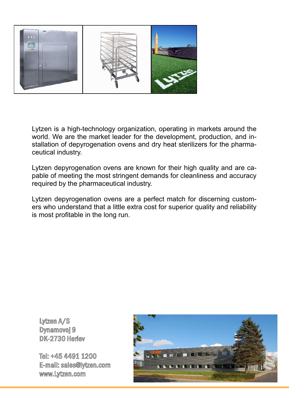

Lytzen is a high-technology organization, operating in markets around the world. We are the market leader for the development, production, and installation of depyrogenation ovens and dry heat sterilizers for the pharmaceutical industry.

Lytzen depyrogenation ovens are known for their high quality and are capable of meeting the most stringent demands for cleanliness and accuracy required by the pharmaceutical industry.

Lytzen depyrogenation ovens are a perfect match for discerning customers who understand that a little extra cost for superior quality and reliability is most profitable in the long run.

**Lytzen A/S Dynamovej 9 DK-2730 Herlev**

**Tel: +45 4491 1200 E-mail: sales@lytzen.com www.Lytzen.com**

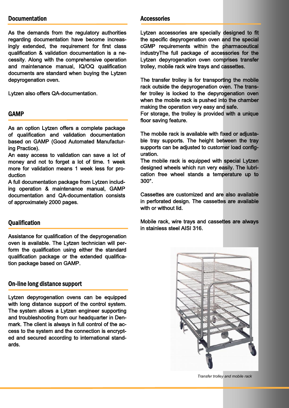#### **Documentation**

As the demands from the regulatory authorities regarding documentation have become increasingly extended, the requirement for first class qualification & validation documentation is a necessity. Along with the comprehensive operation and maintenance manual, IQ/OQ qualification documents are standard when buying the Lytzen depyrogenation oven.

Lytzen also offers QA-documentation.

#### **GAMP**

As an option Lytzen offers a complete package of qualification and validation documentation based on GAMP (Good Automated Manufacturing Practice).

An easy access to validation can save a lot of money and not to forget a lot of time. 1 week more for validation means 1 week less for production

A full documentation package from Lytzen including operation & maintenance manual, GAMP documentation and QA-documentation consists of approximately 2000 pages.

#### **Qualification**

Assistance for qualification of the depyrogenation oven is available. The Lytzen technician will perform the qualification using either the standard qualification package or the extended qualification package based on GAMP.

#### **On-line long distance support**

Lytzen depyrogenation ovens can be equipped with long distance support of the control system. The system allows a Lytzen engineer supporting and troubleshooting from our headquarter in Denmark. The client is always in full control of the access to the system and the connection is encrypted and secured according to international standards.

#### **Accessories**

Lytzen accessories are specially designed to fit the specific depyrogenation oven and the special cGMP requirements within the pharmaceutical industryThe full package of accessories for the Lytzen depyrogenation oven comprises transfer trolley, mobile rack wire trays and cassettes.

The transfer trolley is for transporting the mobile rack outside the depyrogenation oven. The transfer trolley is locked to the depyrogenation oven when the mobile rack is pushed into the chamber making the operation very easy and safe.

For storage, the trolley is provided with a unique floor saving feature.

The mobile rack is available with fixed or adjustable tray supports. The height between the tray supports can be adjusted to customer load configuration.

The mobile rack is equipped with special Lytzen designed wheels which run very easily. The lubrication free wheel stands a temperature up to 300°.

Cassettes are customized and are also available in perforated design. The cassettes are available with or without lid.

Mobile rack, wire trays and cassettes are always in stainless steel AISI 316.



*Transfer trolley and mobile rack*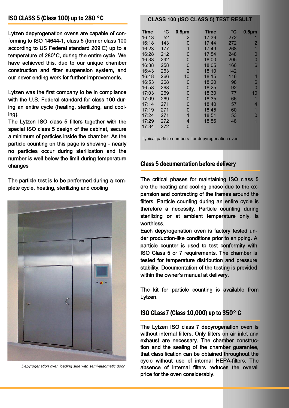# **ISO CLASS 5 (Class 100) up to 280 °C**

Lytzen depyrogenation ovens are capable of conforming to ISO 14644-1, class 5 (former class 100 according to US Federal standard 209 E) up to a temperature of 280°C, during the entire cycle. We have achieved this, due to our unique chamber construction and filter suspension system, and our never ending work for further improvements.

Lytzen was the first company to be in compliance with the U.S. Federal standard for class 100 during an entire cycle (heating, sterilizing, and cooling).

The Lytzen ISO class 5 filters together with the special ISO class 5 design of the cabinet, secure a minimum of particles inside the chamber. As the particle counting on this page is showing - nearly no particles occur during sterilization and the number is well below the limit during temperature changes

The particle test is to be performed during a complete cycle, heating, sterilizing and cooling



*Depyrogenation oven loading side with semi-automatic door*

#### **CLASS 100 (ISO CLASS 5) TEST RESULT**

| Time  | $\rm ^{\circ}C$ | $0.5 \mu m$ | Time  | °C  | $0.5 \mu m$ |
|-------|-----------------|-------------|-------|-----|-------------|
| 16:13 | 52              | 2           | 17:39 | 272 |             |
| 16:18 | 143             | 0           | 17:44 | 272 | 2           |
| 16:23 | 177             | 1           | 17:49 | 268 | 1           |
| 16:28 | 212             | 0           | 17:54 | 248 | 0           |
| 16:33 | 242             | 0           | 18:00 | 205 | 0           |
| 16:38 | 258             | 0           | 18:05 | 166 | 6           |
| 16:43 | 263             | 2           | 18:10 | 142 | 1           |
| 16:48 | 266             | 10          | 18:15 | 116 | 4           |
| 16:53 | 268             | 0           | 18:20 | 98  | 6           |
| 16:58 | 268             | 0           | 18:25 | 92  | 0           |
| 17:03 | 269             | 0           | 18:30 | 77  | 10          |
| 17:09 | 269             | 0           | 18:35 | 66  | 1           |
| 17:14 | 271             | 0           | 18:40 | 57  | 4           |
| 17:19 | 271             | 0           | 18:45 | 60  | 1           |
| 17:24 | 271             | 1           | 18:51 | 53  | O           |
| 17:29 | 272             | 4           | 18:56 | 48  |             |
| 17:34 | 272             | 0           |       |     |             |

Typical particle numbers for depyrogenation oven

#### **Class 5 documentation before delivery**

The critical phases for maintaining ISO class 5 are the heating and cooling phase due to the expansion and contracting of the frames around the filters. Particle counting during an entire cycle is therefore a necessity. Particle counting during sterilizing or at ambient temperature only, is worthless.

Each depyrogenation oven is factory tested under production-like conditions prior to shipping. A particle counter is used to test conformity with ISO Class 5 or 7 requirements. The chamber is tested for temperature distribution and pressure stability. Documentation of the testing is provided within the owner's manual at delivery.

The kit for particle counting is available from Lytzen.

#### **ISO CLass7 (Class 10,000) up to 350° C**

The Lytzen ISO class 7 depyrogenation oven is without internal filters. Only filters on air inlet and exhaust are necessary. The chamber construction and the sealing of the chamber guarantee, that classification can be obtained throughout the cycle without use of internal HEPA-filters. The absence of internal filters reduces the overall price for the oven considerably.